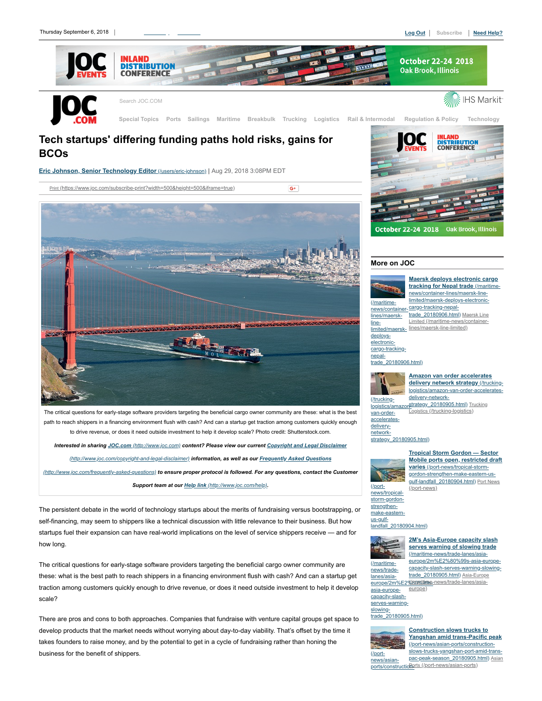

 $G^+$ 

# **Tech startups' differing funding paths hold risks, gains for BCOs**

**[Eric Johnson, Senior Technology Editor](https://www.joc.com/users/eric-johnson)** (/users/eric-johnson) **|** Aug 29, 2018 3:08PM EDT

Print [\(https://www.joc.com/subscribe-print?width=500&height=500&iframe=true\)](https://www.joc.com/subscribe-print?width=500&height=500&iframe=true)



The critical questions for early-stage software providers targeting the beneficial cargo owner community are these: what is the best path to reach shippers in a financing environment flush with cash? And can a startup get traction among customers quickly enough to drive revenue, or does it need outside investment to help it develop scale? Photo credit: Shutterstock.com.

*Interested in sharing JOC.com [\(http://www.joc.com\)](http://www.joc.com/) [content? Please view our current Copyright and Legal Disclaimer](http://www.joc.com/copyright-and-legal-disclaimer) (http://www.joc.com/copyright-and-legal-disclaimer) information, as well as our Frequently Asked Questions (http://www.joc.com/frequently-asked-questions) [to ensure proper protocol is followed. For any questions, contact the](http://www.joc.com/frequently-asked-questions) Customer Support team at our Help link [\(http://www.joc.com/help\)](http://www.joc.com/help).*

The persistent debate in the world of technology startups about the merits of fundraising versus bootstrapping, or self-financing, may seem to shippers like a technical discussion with little relevance to their business. But how startups fuel their expansion can have real-world implications on the level of service shippers receive — and for how long.

The critical questions for early-stage software providers targeting the beneficial cargo owner community are these: what is the best path to reach shippers in a financing environment flush with cash? And can a startup get traction among customers quickly enough to drive revenue, or does it need outside investment to help it develop scale?

There are pros and cons to both approaches. Companies that fundraise with venture capital groups get space to develop products that the market needs without worrying about day-to-day viability. That's offset by the time it takes founders to raise money, and by the potential to get in a cycle of fundraising rather than honing the business for the benefit of shippers.



# **More on JOC**



news/container-cargo-tracking-nepal-**[Maersk deploys electronic cargo](https://www.joc.com/maritime-news/container-lines/maersk-line-limited/maersk-deploys-electronic-cargo-tracking-nepal-trade_20180906.html) tracking for Nepal trade** (/maritimenews/container-lines/maersk-linelimited/maersk-deploys-electronictrade\_20180906.html) Maersk Line Limited [\(/maritime-news/container](https://www.joc.com/maritime-news/container-lines/maersk-line-limited)lines/maersk-line-limited)

[trade\\_20180906.html\)](https://www.joc.com/maritime-news/container-lines/maersk-line-limited/maersk-deploys-electronic-cargo-tracking-nepal-trade_20180906.html)



**Amazon van order accelerates delivery network strategy** (/trucking[logistics/amazon-van-order-accelerates](https://www.joc.com/trucking-logistics/amazon-van-order-accelerates-delivery-network-strategy_20180905.html)delivery-network-



logistics/amazon[strategy\\_20180905.html\)](https://www.joc.com/trucking-logistics) Trucking Logistics (/trucking-logistics)

[strategy\\_20180905.html\)](https://www.joc.com/trucking-logistics/amazon-van-order-accelerates-delivery-network-strategy_20180905.html)



strengthenmake-eastern-

**Tropical Storm Gordon — Sector [Mobile ports open, restricted draft](https://www.joc.com/port-news/tropical-storm-gordon-strengthen-make-eastern-us-gulf-landfall_20180904.html) varies** (/port-news/tropical-stormgordon-strengthen-make-eastern-us[gulf-landfall\\_20180904.html\)](https://www.joc.com/port-news) Port News (/port-news)

#### us-gulflandfall 20180904.html)



news/tradelanes/asia-

asia-europe-

europe/2m%E2%B0%bige-news/trade-lanes/asia-**[2M's Asia-Europe capacity slash](https://www.joc.com/maritime-news/trade-lanes/asia-europe/2m%E2%80%99s-asia-europe-capacity-slash-serves-warning-slowing-trade_20180905.html) serves warning of slowing trade** (/maritime-news/trade-lanes/asiaeurope/2m%E2%80%99s-asia-europecapacity-slash-serves-warning-slowingtrade\_20180905.html) Asia-Europe eur

capacity-slashserves-warningslowingtrade\_20180905.html)



**Construction slows trucks to [Yangshan amid trans-Pacific peak](https://www.joc.com/port-news/asian-ports/construction-slows-trucks-yangshan-port-amid-trans-pac-peak-season_20180905.html)** (/port-news/asian-ports/constructionslows-trucks-yangshan-port-amid-trans[pac-peak-season\\_20180905.html\)](https://www.joc.com/port-news/asian-ports) Asian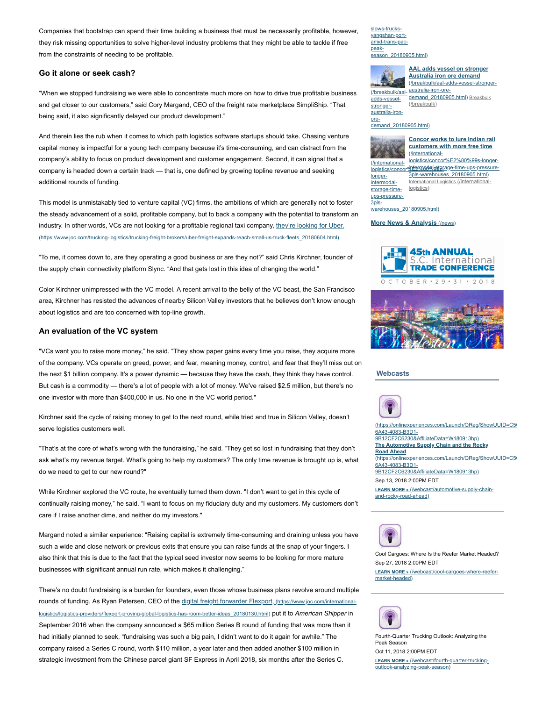Companies that bootstrap can spend their time building a business that must be necessarily profitable, however, they risk missing opportunities to solve higher-level industry problems that they might be able to tackle if free from the constraints of needing to be profitable.

## **Go it alone or seek cash?**

"When we stopped fundraising we were able to concentrate much more on how to drive true profitable business and get closer to our customers," said Cory Margand, CEO of the freight rate marketplace SimpliShip. "That being said, it also significantly delayed our product development."

And therein lies the rub when it comes to which path logistics software startups should take. Chasing venture capital money is impactful for a young tech company because it's time-consuming, and can distract from the company's ability to focus on product development and customer engagement. Second, it can signal that a company is headed down a certain track — that is, one defined by growing topline revenue and seeking additional rounds of funding.

This model is unmistakably tied to venture capital (VC) firms, the ambitions of which are generally not to foster the steady advancement of a solid, profitable company, but to back a company with the potential to transform an industry. In other words, VCs are not looking for a profitable regional taxi company, they're looking for Uber. [\(https://www.joc.com/trucking-logistics/trucking-freight-brokers/uber-freight-expands-reach-small-us-truck-fleets\\_20180604.html\)](https://www.joc.com/trucking-logistics/trucking-freight-brokers/uber-freight-expands-reach-small-us-truck-fleets_20180604.html)

"To me, it comes down to, are they operating a good business or are they not?" said Chris Kirchner, founder of the supply chain connectivity platform Slync. "And that gets lost in this idea of changing the world."

Color Kirchner unimpressed with the VC model. A recent arrival to the belly of the VC beast, the San Francisco area, Kirchner has resisted the advances of nearby Silicon Valley investors that he believes don't know enough about logistics and are too concerned with top-line growth.

### **An evaluation of the VC system**

"VCs want you to raise more money," he said. "They show paper gains every time you raise, they acquire more of the company. VCs operate on greed, power, and fear, meaning money, control, and fear that they'll miss out on the next \$1 billion company. It's a power dynamic — because they have the cash, they think they have control. But cash is a commodity — there's a lot of people with a lot of money. We've raised \$2.5 million, but there's no one investor with more than \$400,000 in us. No one in the VC world period."

Kirchner said the cycle of raising money to get to the next round, while tried and true in Silicon Valley, doesn't serve logistics customers well.

"That's at the core of what's wrong with the fundraising," he said. "They get so lost in fundraising that they don't ask what's my revenue target. What's going to help my customers? The only time revenue is brought up is, what do we need to get to our new round?"

While Kirchner explored the VC route, he eventually turned them down. "I don't want to get in this cycle of continually raising money," he said. "I want to focus on my fiduciary duty and my customers. My customers don't care if I raise another dime, and neither do my investors."

Margand noted a similar experience: "Raising capital is extremely time-consuming and draining unless you have such a wide and close network or previous exits that ensure you can raise funds at the snap of your fingers. I also think that this is due to the fact that the typical seed investor now seems to be looking for more mature businesses with significant annual run rate, which makes it challenging."

There's no doubt fundraising is a burden for founders, even those whose business plans revolve around multiple rounds of funding. As Ryan Petersen, CEO of the digital freight forwarder Flexport, (https://www.joc.com/international[logistics/logistics-providers/flexport-proving-global-logistics-has-room-better-ideas\\_20180130.html\)](https://www.joc.com/international-logistics/logistics-providers/flexport-proving-global-logistics-has-room-better-ideas_20180130.html) put it to *American Shipper* in September 2016 when the company announced a \$65 million Series B round of funding that was more than it had initially planned to seek, "fundraising was such a big pain, I didn't want to do it again for awhile." The company raised a Series C round, worth \$110 million, a year later and then added another \$100 million in strategic investment from the Chinese parcel giant SF Express in April 2018, six months after the Series C.

slows-trucksyangshan-portamid-trans-pacpeak[season\\_20180905.html\)](https://www.joc.com/port-news/asian-ports/construction-slows-trucks-yangshan-port-amid-trans-pac-peak-season_20180905.html)



adds-vesselstrongeraustralia-ironore-

(/breakbulk/aal-australia-iron-ore-**AAL adds vessel on stronger Australia iron ore demand** (/breakbulk/aal-adds-vessel-strong

[demand\\_20180905.html\)](https://www.joc.com/breakbulk) Breakbulk (/breakbulk)

[demand\\_20180905.html\)](https://www.joc.com/breakbulk/aal-adds-vessel-stronger-australia-iron-ore-demand_20180905.html)



**[Concor works to lure Indian rail](https://www.joc.com/international-logistics/concor%E2%80%99s-longer-intermodal-storage-time-ups-pressure-3pls-warehouses_20180905.html) customers with more free time** (/internationallogistics/concor%E2%80%99s-longer-

logistics/concor%dexxededederage-time-ups-pressurestorage-timeups-pressure-3pls-

3pls-warehouses\_20180905.html) [International Logistics](https://www.joc.com/international-logistics) (/internationallogistics<sup>)</sup>

warehouses\_20180905.html)

#### **[More News & Analysis](https://www.joc.com/news)** (/news)





#### **Webcasts**



[\(https://onlinexperiences.com/Launch/QReg/ShowUUID=C5C](https://onlinexperiences.com/Launch/QReg/ShowUUID=C5C104D0-6A43-4083-B3D1-9B12CF2C6230&AffiliateData=W180913hp) 6A43-4083-B3D1- 9B12CF2C6230&AffiliateData=W180913hp) **The Automotive Supply Chain and the Rocky Road Ahead** [\(https://onlinexperiences.com/Launch/QReg/ShowUUID=C5C](https://onlinexperiences.com/Launch/QReg/ShowUUID=C5C104D0-6A43-4083-B3D1-9B12CF2C6230&AffiliateData=W180913hp) 6A43-4083-B3D1- 9B12CF2C6230&AffiliateData=W180913hp) Sep 13, 2018 2:00PM EDT **LEARN MORE »** [\(/webcast/automotive-supply-chain](https://www.joc.com/webcast/automotive-supply-chain-and-rocky-road-ahead)and-rocky-road-ahead)



Cool Cargoes: Where Is the Reefer Market Headed? Sep 27, 2018 2:00PM EDT **LEARN MORE »** [\(/webcast/cool-cargoes-where-reefer](https://www.joc.com/webcast/cool-cargoes-where-reefer-market-headed)market-headed)



Fourth-Quarter Trucking Outlook: Analyzing the Peak Season Oct 11, 2018 2:00PM EDT **LEARN MORE »** [\(/webcast/fourth-quarter-trucking](https://www.joc.com/webcast/fourth-quarter-trucking-outlook-analyzing-peak-season)outlook-analyzing-peak-season)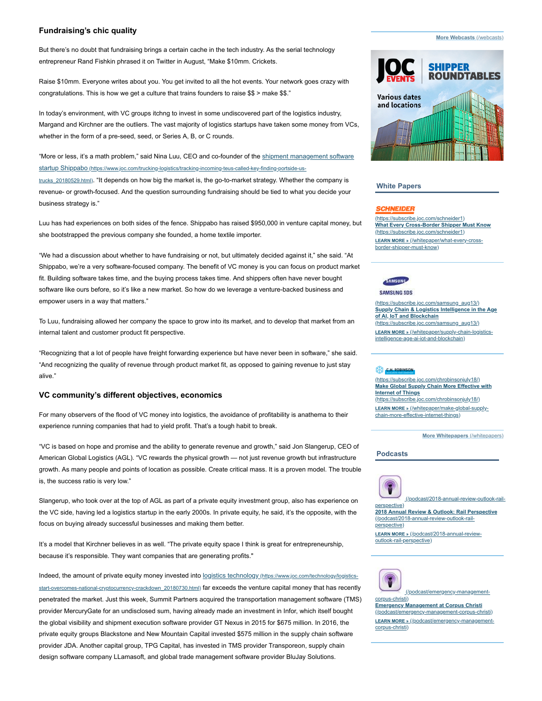## **Fundraising's chic quality**

## But there's no doubt that fundraising brings a certain cache in the tech industry. As the serial technology entrepreneur Rand Fishkin phrased it on Twitter in August, "Make \$10mm. Crickets.

Raise \$10mm. Everyone writes about you. You get invited to all the hot events. Your network goes crazy with congratulations. This is how we get a culture that trains founders to raise \$\$ > make \$\$."

In today's environment, with VC groups itchng to invest in some undiscovered part of the logistics industry, Margand and Kirchner are the outliers. The vast majority of logistics startups have taken some money from VCs, whether in the form of a pre-seed, seed, or Series A, B, or C rounds.

"More or less, it's a math problem," said Nina Luu, CEO and co-founder of the shipment management software startup Shippabo [\(https://www.joc.com/trucking-logistics/tracking-incoming-teus-called-key-finding-portside-us-](https://www.joc.com/trucking-logistics/tracking-incoming-teus-called-key-finding-portside-us-trucks_20180529.html)

trucks\_20180529.html). "It depends on how big the market is, the go-to-market strategy. Whether the company is revenue- or growth-focused. And the question surrounding fundraising should be tied to what you decide your business strategy is."

Luu has had experiences on both sides of the fence. Shippabo has raised \$950,000 in venture capital money, but she bootstrapped the previous company she founded, a home textile importer.

"We had a discussion about whether to have fundraising or not, but ultimately decided against it," she said. "At Shippabo, we're a very software-focused company. The benefit of VC money is you can focus on product market fit. Building software takes time, and the buying process takes time. And shippers often have never bought software like ours before, so it's like a new market. So how do we leverage a venture-backed business and empower users in a way that matters."

To Luu, fundraising allowed her company the space to grow into its market, and to develop that market from an internal talent and customer product fit perspective.

"Recognizing that a lot of people have freight forwarding experience but have never been in software," she said. "And recognizing the quality of revenue through product market fit, as opposed to gaining revenue to just stay alive."

## **VC community's different objectives, economics**

For many observers of the flood of VC money into logistics, the avoidance of profitability is anathema to their experience running companies that had to yield profit. That's a tough habit to break.

"VC is based on hope and promise and the ability to generate revenue and growth," said Jon Slangerup, CEO of American Global Logistics (AGL). "VC rewards the physical growth — not just revenue growth but infrastructure growth. As many people and points of location as possible. Create critical mass. It is a proven model. The trouble is, the success ratio is very low."

Slangerup, who took over at the top of AGL as part of a private equity investment group, also has experience on the VC side, having led a logistics startup in the early 2000s. In private equity, he said, it's the opposite, with the focus on buying already successful businesses and making them better.

It's a model that Kirchner believes in as well. "The private equity space I think is great for entrepreneurship, because it's responsible. They want companies that are generating profits."

Indeed, the amount of private equity money invested into logistics technology (https://www.joc.com/technology/logistics[start-overcomes-national-cryptocurrency-crackdown\\_20180730.html\)](https://www.joc.com/technology/logistics-start-overcomes-national-cryptocurrency-crackdown_20180730.html) far exceeds the venture capital money that has recently penetrated the market. Just this week, Summit Partners acquired the transportation management software (TMS) provider MercuryGate for an undisclosed sum, having already made an investment in Infor, which itself bought the global visibility and shipment execution software provider GT Nexus in 2015 for \$675 million. In 2016, the private equity groups Blackstone and New Mountain Capital invested \$575 million in the supply chain software provider JDA. Another capital group, TPG Capital, has invested in TMS provider Transporeon, supply chain design software company LLamasoft, and global trade management software provider BluJay Solutions.

**[More Webcasts](https://www.joc.com/webcasts)** (/webcasts)



#### **White Papers**

## **SCHNEIDER**

[\(https://subscribe.joc.com/schneider1\)](https://subscribe.joc.com/schneider1) **[What Every Cross-Border Shipper Must Know](https://subscribe.joc.com/schneider1)** (https://subscribe.joc.com/schneider1) **LEARN MORE »** [\(/whitepaper/what-every-cross](https://www.joc.com/whitepaper/what-every-cross-border-shipper-must-know)border-shipper-must-know)



#### **SAMSUNG SDS**

[\(https://subscribe.joc.com/samsung\\_aug13/\)](https://subscribe.joc.com/samsung_aug13/) **[Supply Chain & Logistics Intelligence in the Age](https://subscribe.joc.com/samsung_aug13/) of AI, IoT and Blockchain** (https://subscribe.joc.com/samsung\_aug13/) **LEARN MORE »** (/whitepaper/supply-chain-logistics[intelligence-age-ai-iot-and-blockchain\)](https://www.joc.com/whitepaper/supply-chain-logistics-intelligence-age-ai-iot-and-blockchain)

#### **C.H. ROBINSON**

[\(https://subscribe.joc.com/chrobinsonjuly18/\)](https://subscribe.joc.com/chrobinsonjuly18/) **[Make Global Supply Chain More Effective with](https://subscribe.joc.com/chrobinsonjuly18/) Internet of Things** (https://subscribe.joc.com/chrobinsonjuly18/)

**LEARN MORE »** (/whitepaper/make-global-supply[chain-more-effective-internet-things\)](https://www.joc.com/whitepaper/make-global-supply-chain-more-effective-internet-things)

**[More Whitepapers](https://www.joc.com/whitepapers)** (/whitepapers)

#### **Podcasts**





 [\(/podcast/emergency-management](https://www.joc.com/podcast/emergency-management-corpus-christi)corpus-christi) **Emergency Management at Corpus Christi**

[\(/podcast/emergency-management-corpus-christi\)](https://www.joc.com/podcast/emergency-management-corpus-christi) **LEARN MORE »** [\(/podcast/emergency-management](https://www.joc.com/podcast/emergency-management-corpus-christi)corpus-christi)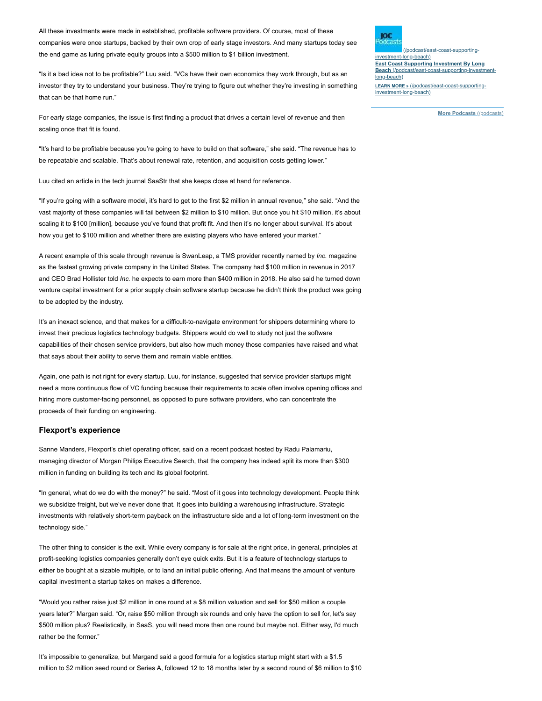All these investments were made in established, profitable software providers. Of course, most of these companies were once startups, backed by their own crop of early stage investors. And many startups today see the end game as luring private equity groups into a \$500 million to \$1 billion investment.

"Is it a bad idea not to be profitable?" Luu said. "VCs have their own economics they work through, but as an investor they try to understand your business. They're trying to figure out whether they're investing in something that can be that home run."

For early stage companies, the issue is first finding a product that drives a certain level of revenue and then scaling once that fit is found.

"It's hard to be profitable because you're going to have to build on that software," she said. "The revenue has to be repeatable and scalable. That's about renewal rate, retention, and acquisition costs getting lower."

Luu cited an article in the tech journal SaaStr that she keeps close at hand for reference.

"If you're going with a software model, it's hard to get to the first \$2 million in annual revenue," she said. "And the vast majority of these companies will fail between \$2 million to \$10 million. But once you hit \$10 million, it's about scaling it to \$100 [million], because you've found that profit fit. And then it's no longer about survival. It's about how you get to \$100 million and whether there are existing players who have entered your market."

A recent example of this scale through revenue is SwanLeap, a TMS provider recently named by *Inc.* magazine as the fastest growing private company in the United States. The company had \$100 million in revenue in 2017 and CEO Brad Hollister told *Inc.* he expects to earn more than \$400 million in 2018. He also said he turned down venture capital investment for a prior supply chain software startup because he didn't think the product was going to be adopted by the industry.

It's an inexact science, and that makes for a difficult-to-navigate environment for shippers determining where to invest their precious logistics technology budgets. Shippers would do well to study not just the software capabilities of their chosen service providers, but also how much money those companies have raised and what that says about their ability to serve them and remain viable entities.

Again, one path is not right for every startup. Luu, for instance, suggested that service provider startups might need a more continuous flow of VC funding because their requirements to scale often involve opening offices and hiring more customer-facing personnel, as opposed to pure software providers, who can concentrate the proceeds of their funding on engineering.

#### **Flexport's experience**

Sanne Manders, Flexport's chief operating officer, said on a recent podcast hosted by Radu Palamariu, managing director of Morgan Philips Executive Search, that the company has indeed split its more than \$300 million in funding on building its tech and its global footprint.

"In general, what do we do with the money?" he said. "Most of it goes into technology development. People think we subsidize freight, but we've never done that. It goes into building a warehousing infrastructure. Strategic investments with relatively short-term payback on the infrastructure side and a lot of long-term investment on the technology side."

The other thing to consider is the exit. While every company is for sale at the right price, in general, principles at profit-seeking logistics companies generally don't eye quick exits. But it is a feature of technology startups to either be bought at a sizable multiple, or to land an initial public offering. And that means the amount of venture capital investment a startup takes on makes a difference.

"Would you rather raise just \$2 million in one round at a \$8 million valuation and sell for \$50 million a couple years later?" Margan said. "Or, raise \$50 million through six rounds and only have the option to sell for, let's say \$500 million plus? Realistically, in SaaS, you will need more than one round but maybe not. Either way, I'd much rather be the former."

It's impossible to generalize, but Margand said a good formula for a logistics startup might start with a \$1.5 million to \$2 million seed round or Series A, followed 12 to 18 months later by a second round of \$6 million to \$10 ЮC

 $($ /podcast/east-supporting investment-long-beach) **[East Coast Supporting Investment By Long](https://www.joc.com/podcast/east-coast-supporting-investment-long-beach) Beach** (/podcast/east-coast-supporting-invest long-beach) **LEARN MORE »** [\(/podcast/east-coast-supporting](https://www.joc.com/podcast/east-coast-supporting-investment-long-beach)investment-long-beach)

**[More Podcasts](https://www.joc.com/podcasts)** (/podcasts)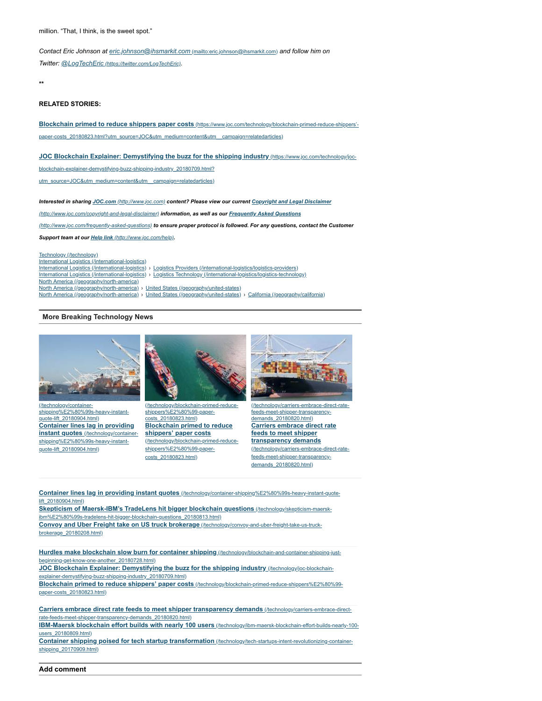*Contact Eric Johnson at [eric.johnson@ihsmarkit.com](mailto:eric.johnson@ihsmarkit.com)* (mailto:eric.johnson@ihsmarkit.com) *and follow him on*

*Twitter: @LogTechEric [\(https://twitter.com/LogTechEric\)](https://twitter.com/LogTechEric).*

**\*\***

## **RELATED STORIES:**

**Blockchain primed to reduce shippers paper costs** (https://www.joc.com/technology/blockchain-primed-reduce-shippers' [paper-costs\\_20180823.html?utm\\_source=JOC&utm\\_medium=content&utm\\_\\_campaign=relatedarticles\)](https://www.joc.com/technology/blockchain-primed-reduce-shippers%E2%80%99-paper-costs_20180823.html?utm_source=JOC&utm_medium=content&utm__campaign=relatedarticles)

## **JOC Blockchain Explainer: Demystifying the buzz for the shipping industry** (https://www.joc.com/technology/joc-

[blockchain-explainer-demystifying-buzz-shipping-industry\\_20180709.html?](https://www.joc.com/technology/joc-blockchain-explainer-demystifying-buzz-shipping-industry_20180709.html?utm_source=JOC&utm_medium=content&utm__campaign=relatedarticles)

utm\_source=JOC&utm\_medium=content&utm\_campaign=relatedarticles)

*Interested in sharing JOC.com [\(http://www.joc.com\)](http://www.joc.com/) [content? Please view our current Copyright and Legal Disclaimer](http://www.joc.com/copyright-and-legal-disclaimer)*

*(http://www.joc.com/copyright-and-legal-disclaimer) information, as well as our Frequently Asked Questions*

*(http://www.joc.com/frequently-asked-questions) [to ensure proper protocol is followed. For any questions, c](http://www.joc.com/frequently-asked-questions)ontact the Customer*

*Support team at our Help link [\(http://www.joc.com/help\)](http://www.joc.com/help).*

[Technology \(/technology\)](https://www.joc.com/technology) [International Logistics \(/international-logistics\)](https://www.joc.com/international-logistics) [International Logistics \(/international-logistics\)](https://www.joc.com/international-logistics) › [Logistics Providers \(/international-logistics/logistics-providers\)](https://www.joc.com/international-logistics/logistics-providers) [International Logistics \(/international-logistics\)](https://www.joc.com/international-logistics) › [Logistics Technology \(/international-logistics/logistics-technology\)](https://www.joc.com/international-logistics/logistics-technology) [North America \(/geography/north-america\)](https://www.joc.com/geography/north-america) [North America \(/geography/north-america\)](https://www.joc.com/geography/north-america) › [United States \(/geography/united-states\)](https://www.joc.com/geography/united-states) [North America \(/geography/north-america\)](https://www.joc.com/geography/north-america) › [United States \(/geography/united-states\)](https://www.joc.com/geography/united-states) › [California \(/geography/california\)](https://www.joc.com/geography/california)

#### **More Breaking Technology News**



(/technology/container[shipping%E2%80%99s-heavy-instant](https://www.joc.com/technology/container-shipping%E2%80%99s-heavy-instant-quote-lift_20180904.html)quote-lift\_20180904.html) **Container lines lag in providing instant quotes** (/technology/container[shipping%E2%80%99s-heavy-instant](https://www.joc.com/technology/container-shipping%E2%80%99s-heavy-instant-quote-lift_20180904.html)quote-lift\_20180904.html)



[\(/technology/blockchain-primed-reduce](https://www.joc.com/technology/blockchain-primed-reduce-shippers%E2%80%99-paper-costs_20180823.html)shippers%E2%80%99-papercosts\_20180823.html) **Blockchain primed to reduce shippers' paper costs** [\(/technology/blockchain-primed-reduce](https://www.joc.com/technology/blockchain-primed-reduce-shippers%E2%80%99-paper-costs_20180823.html)shippers%E2%80%99-papercosts\_20180823.html)



[\(/technology/carriers-embrace-direct-rate](https://www.joc.com/technology/carriers-embrace-direct-rate-feeds-meet-shipper-transparency-demands_20180820.html)feeds-meet-shipper-transparencydemands\_20180820.html) **Carriers embrace direct rate feeds to meet shipper transparency demands** [\(/technology/carriers-embrace-direct-rate](https://www.joc.com/technology/carriers-embrace-direct-rate-feeds-meet-shipper-transparency-demands_20180820.html)feeds-meet-shipper-transparencydemands\_20180820.html)

**Container lines lag in providing instant quotes** [\(/technology/container-shipping%E2%80%99s-heavy-instant-quote](https://www.joc.com/technology/container-shipping%E2%80%99s-heavy-instant-quote-lift_20180904.html)lift\_20180904.html)

**Skepticism of Maersk-IBM's TradeLens hit bigger blockchain questions** (/technology/skepticism-maersk[ibm%E2%80%99s-tradelens-hit-bigger-blockchain-questions\\_20180813.html\)](https://www.joc.com/technology/skepticism-maersk-ibm%E2%80%99s-tradelens-hit-bigger-blockchain-questions_20180813.html) **Convoy and Uber Freight take on US truck brokerage** [\(/technology/convoy-and-uber-freight-take-us-truck](https://www.joc.com/technology/convoy-and-uber-freight-take-us-truck-brokerage_20180208.html)brokerage\_20180208.html)

**Hurdles make blockchain slow burn for container shipping** [\(/technology/blockchain-and-container-shipping-just](https://www.joc.com/technology/blockchain-and-container-shipping-just-beginning-get-know-one-another_20180728.html)beginning-get-know-one-another\_20180728.html)

**JOC Blockchain Explainer: Demystifying the buzz for the shipping industry** (/technology/joc-blockchain[explainer-demystifying-buzz-shipping-industry\\_20180709.html\)](https://www.joc.com/technology/joc-blockchain-explainer-demystifying-buzz-shipping-industry_20180709.html)

**Blockchain primed to reduce shippers' paper costs** [\(/technology/blockchain-primed-reduce-shippers%E2%80%99](https://www.joc.com/technology/blockchain-primed-reduce-shippers%E2%80%99-paper-costs_20180823.html) paper-costs\_20180823.html)

**Carriers embrace direct rate feeds to meet shipper transparency demands** (/technology/carriers-embrace-direct[rate-feeds-meet-shipper-transparency-demands\\_20180820.html\)](https://www.joc.com/technology/carriers-embrace-direct-rate-feeds-meet-shipper-transparency-demands_20180820.html)

**IBM-Maersk blockchain effort builds with nearly 100 users** [\(/technology/ibm-maersk-blockchain-effort-builds-nearly-100](https://www.joc.com/technology/ibm-maersk-blockchain-effort-builds-nearly-100-users_20180809.html) users\_20180809.html)

**Container shipping poised for tech startup transformation** [\(/technology/tech-startups-intent-revolutionizing-container](https://www.joc.com/technology/tech-startups-intent-revolutionizing-container-shipping_20170909.html)shipping\_20170909.html)

**Add comment**